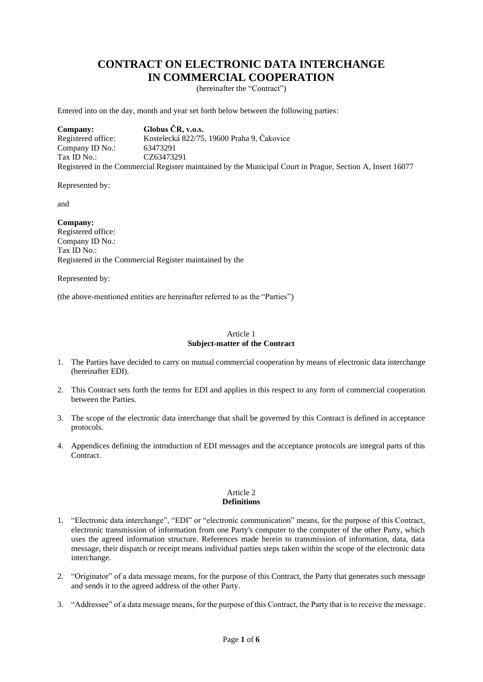## **CONTRACT ON ELECTRONIC DATA INTERCHANGE IN COMMERCIAL COOPERATION**

(hereinafter the "Contract")

Entered into on the day, month and year set forth below between the following parties:

**Company: Globus ČR, v.o.s.** Registered office: Kostelecká 822/75, 19600 Praha 9, Čakovice Company ID No.: 63473291 Tax ID No.: CZ63473291 Registered in the Commercial Register maintained by the Municipal Court in Prague, Section A, Insert 16077

Represented by:

and

**Company:** Registered office: Company ID No.: Tax ID No.: Registered in the Commercial Register maintained by the

Represented by:

(the above-mentioned entities are hereinafter referred to as the "Parties")

#### Article 1 **Subject-matter of the Contract**

- 1. The Parties have decided to carry on mutual commercial cooperation by means of electronic data interchange (hereinafter EDI).
- 2. This Contract sets forth the terms for EDI and applies in this respect to any form of commercial cooperation between the Parties.
- 3. The scope of the electronic data interchange that shall be governed by this Contract is defined in acceptance protocols.
- 4. Appendices defining the introduction of EDI messages and the acceptance protocols are integral parts of this Contract.

#### Article 2 **Definitions**

- 1. "Electronic data interchange", "EDI" or "electronic communication" means, for the purpose of this Contract, electronic transmission of information from one Party's computer to the computer of the other Party, which uses the agreed information structure. References made herein to transmission of information, data, data message, their dispatch or receipt means individual parties steps taken within the scope of the electronic data interchange.
- 2. "Originator" of a data message means, for the purpose of this Contract, the Party that generates such message and sends it to the agreed address of the other Party.
- 3. "Addressee" of a data message means, for the purpose of this Contract, the Party that is to receive the message.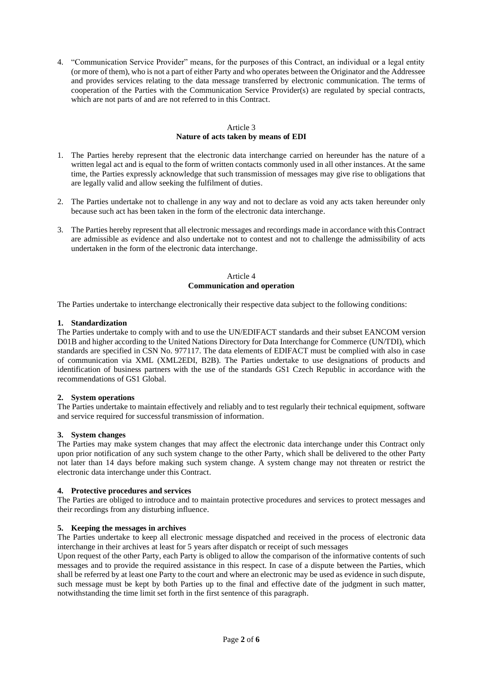4. "Communication Service Provider" means, for the purposes of this Contract, an individual or a legal entity (or more of them), who is not a part of either Party and who operates between the Originator and the Addressee and provides services relating to the data message transferred by electronic communication. The terms of cooperation of the Parties with the Communication Service Provider(s) are regulated by special contracts, which are not parts of and are not referred to in this Contract.

## Article 3 **Nature of acts taken by means of EDI**

- 1. The Parties hereby represent that the electronic data interchange carried on hereunder has the nature of a written legal act and is equal to the form of written contacts commonly used in all other instances. At the same time, the Parties expressly acknowledge that such transmission of messages may give rise to obligations that are legally valid and allow seeking the fulfilment of duties.
- 2. The Parties undertake not to challenge in any way and not to declare as void any acts taken hereunder only because such act has been taken in the form of the electronic data interchange.
- 3. The Parties hereby represent that all electronic messages and recordings made in accordance with this Contract are admissible as evidence and also undertake not to contest and not to challenge the admissibility of acts undertaken in the form of the electronic data interchange.

#### Article 4 **Communication and operation**

The Parties undertake to interchange electronically their respective data subject to the following conditions:

#### **1. Standardization**

The Parties undertake to comply with and to use the UN/EDIFACT standards and their subset EANCOM version D01B and higher according to the United Nations Directory for Data Interchange for Commerce (UN/TDI), which standards are specified in CSN No. 977117. The data elements of EDIFACT must be complied with also in case of communication via XML (XML2EDI, B2B). The Parties undertake to use designations of products and identification of business partners with the use of the standards GS1 Czech Republic in accordance with the recommendations of GS1 Global.

## **2. System operations**

The Parties undertake to maintain effectively and reliably and to test regularly their technical equipment, software and service required for successful transmission of information.

## **3. System changes**

The Parties may make system changes that may affect the electronic data interchange under this Contract only upon prior notification of any such system change to the other Party, which shall be delivered to the other Party not later than 14 days before making such system change. A system change may not threaten or restrict the electronic data interchange under this Contract.

## **4. Protective procedures and services**

The Parties are obliged to introduce and to maintain protective procedures and services to protect messages and their recordings from any disturbing influence.

## **5. Keeping the messages in archives**

The Parties undertake to keep all electronic message dispatched and received in the process of electronic data interchange in their archives at least for 5 years after dispatch or receipt of such messages

Upon request of the other Party, each Party is obliged to allow the comparison of the informative contents of such messages and to provide the required assistance in this respect. In case of a dispute between the Parties, which shall be referred by at least one Party to the court and where an electronic may be used as evidence in such dispute, such message must be kept by both Parties up to the final and effective date of the judgment in such matter, notwithstanding the time limit set forth in the first sentence of this paragraph.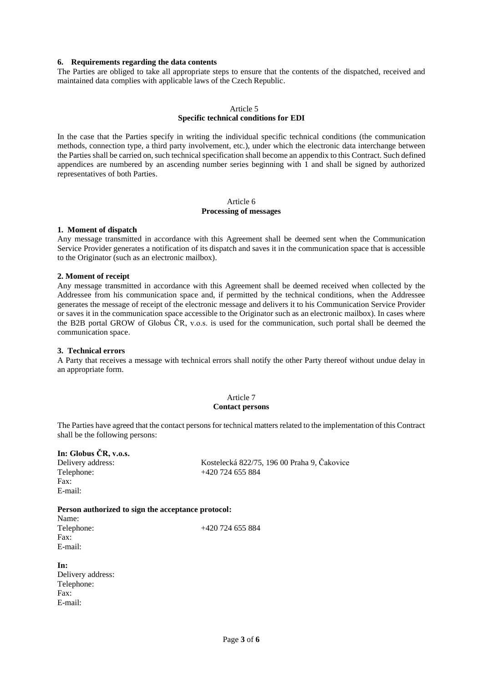#### **6. Requirements regarding the data contents**

The Parties are obliged to take all appropriate steps to ensure that the contents of the dispatched, received and maintained data complies with applicable laws of the Czech Republic.

## Article 5 **Specific technical conditions for EDI**

In the case that the Parties specify in writing the individual specific technical conditions (the communication methods, connection type, a third party involvement, etc.), under which the electronic data interchange between the Parties shall be carried on, such technical specification shall become an appendix to this Contract. Such defined appendices are numbered by an ascending number series beginning with 1 and shall be signed by authorized representatives of both Parties.

#### Article 6 **Processing of messages**

#### **1. Moment of dispatch**

Any message transmitted in accordance with this Agreement shall be deemed sent when the Communication Service Provider generates a notification of its dispatch and saves it in the communication space that is accessible to the Originator (such as an electronic mailbox).

#### **2. Moment of receipt**

Any message transmitted in accordance with this Agreement shall be deemed received when collected by the Addressee from his communication space and, if permitted by the technical conditions, when the Addressee generates the message of receipt of the electronic message and delivers it to his Communication Service Provider or saves it in the communication space accessible to the Originator such as an electronic mailbox). In cases where the B2B portal GROW of Globus ČR, v.o.s. is used for the communication, such portal shall be deemed the communication space.

#### **3. Technical errors**

E-mail:

A Party that receives a message with technical errors shall notify the other Party thereof without undue delay in an appropriate form.

#### Article 7 **Contact persons**

The Parties have agreed that the contact persons for technical matters related to the implementation of this Contract shall be the following persons:

| In: Globus CR, v.o.s.                              |                                                                   |                                                    |                    |
|----------------------------------------------------|-------------------------------------------------------------------|----------------------------------------------------|--------------------|
| Delivery address:<br>Telephone:<br>Fax:<br>E-mail: | Kostelecká 822/75, 196 00 Praha 9, Čakovice<br>$+420$ 724 655 884 |                                                    |                    |
|                                                    |                                                                   | Person authorized to sign the acceptance protocol: |                    |
|                                                    |                                                                   | Name:                                              |                    |
|                                                    |                                                                   | Telephone:                                         | $+420$ 724 655 884 |
| Fax:                                               |                                                                   |                                                    |                    |
| E-mail:                                            |                                                                   |                                                    |                    |
| In:                                                |                                                                   |                                                    |                    |
| Delivery address:                                  |                                                                   |                                                    |                    |
| Telephone:                                         |                                                                   |                                                    |                    |
| Fax:                                               |                                                                   |                                                    |                    |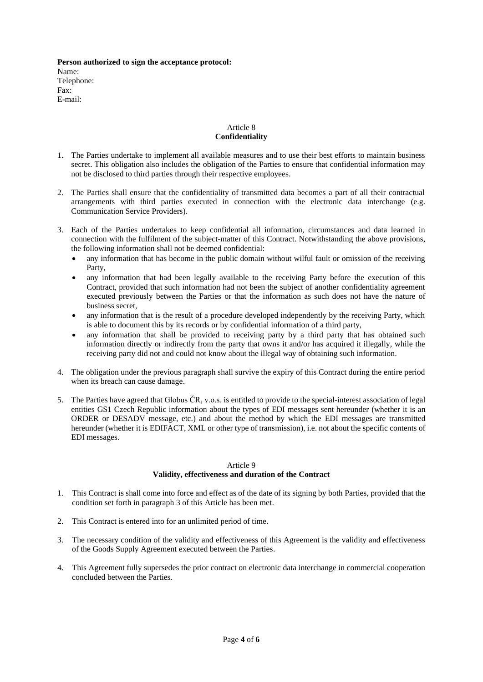**Person authorized to sign the acceptance protocol:** Name: Telephone: Fax: E-mail:

## Article 8 **Confidentiality**

- 1. The Parties undertake to implement all available measures and to use their best efforts to maintain business secret. This obligation also includes the obligation of the Parties to ensure that confidential information may not be disclosed to third parties through their respective employees.
- 2. The Parties shall ensure that the confidentiality of transmitted data becomes a part of all their contractual arrangements with third parties executed in connection with the electronic data interchange (e.g. Communication Service Providers).
- 3. Each of the Parties undertakes to keep confidential all information, circumstances and data learned in connection with the fulfilment of the subject-matter of this Contract. Notwithstanding the above provisions, the following information shall not be deemed confidential:
	- any information that has become in the public domain without wilful fault or omission of the receiving Party,
	- any information that had been legally available to the receiving Party before the execution of this Contract, provided that such information had not been the subject of another confidentiality agreement executed previously between the Parties or that the information as such does not have the nature of business secret,
	- any information that is the result of a procedure developed independently by the receiving Party, which is able to document this by its records or by confidential information of a third party,
	- any information that shall be provided to receiving party by a third party that has obtained such information directly or indirectly from the party that owns it and/or has acquired it illegally, while the receiving party did not and could not know about the illegal way of obtaining such information.
- 4. The obligation under the previous paragraph shall survive the expiry of this Contract during the entire period when its breach can cause damage.
- 5. The Parties have agreed that Globus ČR, v.o.s. is entitled to provide to the special-interest association of legal entities GS1 Czech Republic information about the types of EDI messages sent hereunder (whether it is an ORDER or DESADV message, etc.) and about the method by which the EDI messages are transmitted hereunder (whether it is EDIFACT, XML or other type of transmission), i.e. not about the specific contents of EDI messages.

## Article 9

## **Validity, effectiveness and duration of the Contract**

- 1. This Contract is shall come into force and effect as of the date of its signing by both Parties, provided that the condition set forth in paragraph 3 of this Article has been met.
- 2. This Contract is entered into for an unlimited period of time.
- 3. The necessary condition of the validity and effectiveness of this Agreement is the validity and effectiveness of the Goods Supply Agreement executed between the Parties.
- 4. This Agreement fully supersedes the prior contract on electronic data interchange in commercial cooperation concluded between the Parties.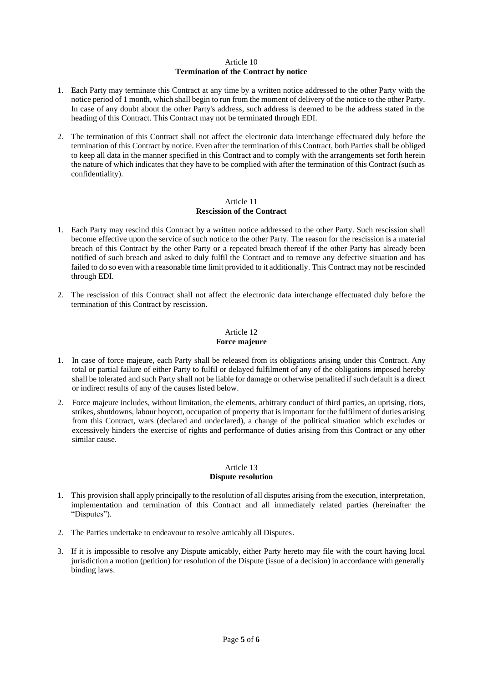#### Article 10 **Termination of the Contract by notice**

- 1. Each Party may terminate this Contract at any time by a written notice addressed to the other Party with the notice period of 1 month, which shall begin to run from the moment of delivery of the notice to the other Party. In case of any doubt about the other Party's address, such address is deemed to be the address stated in the heading of this Contract. This Contract may not be terminated through EDI.
- 2. The termination of this Contract shall not affect the electronic data interchange effectuated duly before the termination of this Contract by notice. Even after the termination of this Contract, both Parties shall be obliged to keep all data in the manner specified in this Contract and to comply with the arrangements set forth herein the nature of which indicates that they have to be complied with after the termination of this Contract (such as confidentiality).

## Article 11 **Rescission of the Contract**

- 1. Each Party may rescind this Contract by a written notice addressed to the other Party. Such rescission shall become effective upon the service of such notice to the other Party. The reason for the rescission is a material breach of this Contract by the other Party or a repeated breach thereof if the other Party has already been notified of such breach and asked to duly fulfil the Contract and to remove any defective situation and has failed to do so even with a reasonable time limit provided to it additionally. This Contract may not be rescinded through EDI.
- 2. The rescission of this Contract shall not affect the electronic data interchange effectuated duly before the termination of this Contract by rescission.

## Article 12

## **Force majeure**

- 1. In case of force majeure, each Party shall be released from its obligations arising under this Contract. Any total or partial failure of either Party to fulfil or delayed fulfilment of any of the obligations imposed hereby shall be tolerated and such Party shall not be liable for damage or otherwise penalited if such default is a direct or indirect results of any of the causes listed below.
- 2. Force majeure includes, without limitation, the elements, arbitrary conduct of third parties, an uprising, riots, strikes, shutdowns, labour boycott, occupation of property that is important for the fulfilment of duties arising from this Contract, wars (declared and undeclared), a change of the political situation which excludes or excessively hinders the exercise of rights and performance of duties arising from this Contract or any other similar cause.

## Article 13 **Dispute resolution**

- 1. This provision shall apply principally to the resolution of all disputes arising from the execution, interpretation, implementation and termination of this Contract and all immediately related parties (hereinafter the "Disputes").
- 2. The Parties undertake to endeavour to resolve amicably all Disputes.
- 3. If it is impossible to resolve any Dispute amicably, either Party hereto may file with the court having local jurisdiction a motion (petition) for resolution of the Dispute (issue of a decision) in accordance with generally binding laws.